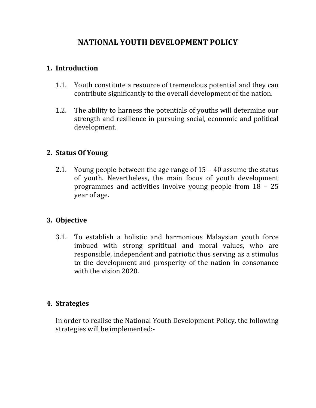# **NATIONAL YOUTH DEVELOPMENT POLICY**

### **1. Introduction**

- 1.1. Youth constitute a resource of tremendous potential and they can contribute significantly to the overall development of the nation.
- 1.2. The ability to harness the potentials of youths will determine our strength and resilience in pursuing social, economic and political development.

### **2. Status Of Young**

2.1. Young people between the age range of 15 – 40 assume the status of youth. Nevertheless, the main focus of youth development programmes and activities involve young people from 18 – 25 year of age.

## **3. Objective**

3.1. To establish a holistic and harmonious Malaysian youth force imbued with strong sprititual and moral values, who are responsible, independent and patriotic thus serving as a stimulus to the development and prosperity of the nation in consonance with the vision 2020.

### **4. Strategies**

In order to realise the National Youth Development Policy, the following strategies will be implemented:-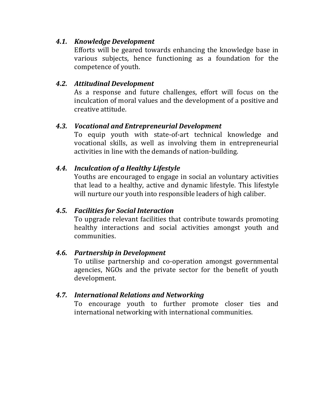### *4.1. Knowledge Development*

Efforts will be geared towards enhancing the knowledge base in various subjects, hence functioning as a foundation for the competence of youth.

### *4.2. Attitudinal Development*

As a response and future challenges, effort will focus on the inculcation of moral values and the development of a positive and creative attitude.

### *4.3. Vocational and Entrepreneurial Development*

To equip youth with state-of-art technical knowledge and vocational skills, as well as involving them in entrepreneurial activities in line with the demands of nation-building.

## *4.4. Inculcation of a Healthy Lifestyle*

Youths are encouraged to engage in social an voluntary activities that lead to a healthy, active and dynamic lifestyle. This lifestyle will nurture our youth into responsible leaders of high caliber.

## *4.5. Facilities for Social Interaction*

To upgrade relevant facilities that contribute towards promoting healthy interactions and social activities amongst youth and communities.

### *4.6. Partnership in Development*

To utilise partnership and co-operation amongst governmental agencies, NGOs and the private sector for the benefit of youth development.

### *4.7. International Relations and Networking*

To encourage youth to further promote closer ties and international networking with international communities.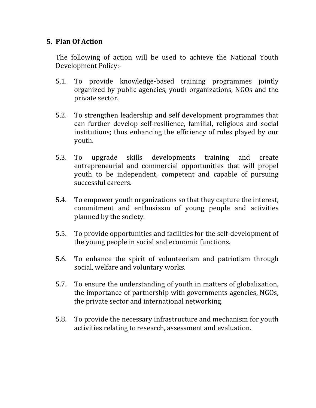### **5. Plan Of Action**

The following of action will be used to achieve the National Youth Development Policy:-

- 5.1. To provide knowledge-based training programmes jointly organized by public agencies, youth organizations, NGOs and the private sector.
- 5.2. To strengthen leadership and self development programmes that can further develop self-resilience, familial, religious and social institutions; thus enhancing the efficiency of rules played by our youth.
- 5.3. To upgrade skills developments training and create entrepreneurial and commercial opportunities that will propel youth to be independent, competent and capable of pursuing successful careers.
- 5.4. To empower youth organizations so that they capture the interest, commitment and enthusiasm of young people and activities planned by the society.
- 5.5. To provide opportunities and facilities for the self-development of the young people in social and economic functions.
- 5.6. To enhance the spirit of volunteerism and patriotism through social, welfare and voluntary works.
- 5.7. To ensure the understanding of youth in matters of globalization, the importance of partnership with governments agencies, NGOs, the private sector and international networking.
- 5.8. To provide the necessary infrastructure and mechanism for youth activities relating to research, assessment and evaluation.